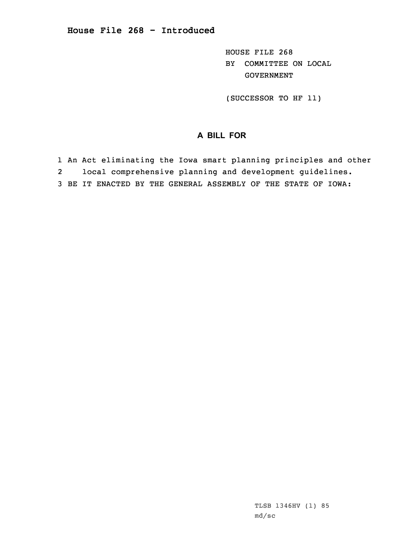HOUSE FILE 268 BY COMMITTEE ON LOCAL GOVERNMENT

(SUCCESSOR TO HF 11)

## **A BILL FOR**

- 1 An Act eliminating the Iowa smart planning principles and other 2local comprehensive planning and development guidelines.
- 3 BE IT ENACTED BY THE GENERAL ASSEMBLY OF THE STATE OF IOWA: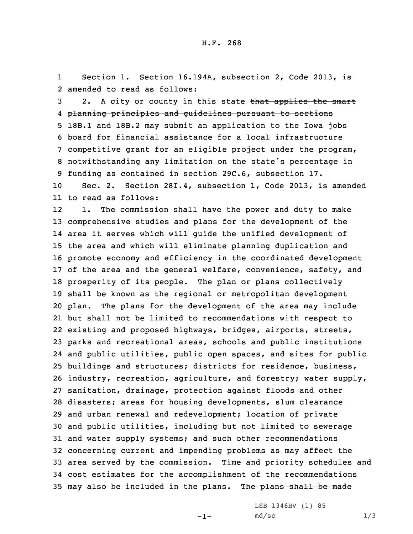1Section 1. Section 16.194A, subsection 2, Code 2013, is 2 amended to read as follows:

3 2. A city or county in this state that applies the smart planning principles and guidelines pursuant to sections 5 18B.1 and 18B.2 may submit an application to the Iowa jobs board for financial assistance for <sup>a</sup> local infrastructure competitive grant for an eligible project under the program, notwithstanding any limitation on the state's percentage in funding as contained in section 29C.6, subsection 17.

10 Sec. 2. Section 28I.4, subsection 1, Code 2013, is amended 11 to read as follows:

12 1. The commission shall have the power and duty to make comprehensive studies and plans for the development of the area it serves which will guide the unified development of the area and which will eliminate planning duplication and promote economy and efficiency in the coordinated development of the area and the general welfare, convenience, safety, and prosperity of its people. The plan or plans collectively shall be known as the regional or metropolitan development plan. The plans for the development of the area may include but shall not be limited to recommendations with respect to existing and proposed highways, bridges, airports, streets, parks and recreational areas, schools and public institutions and public utilities, public open spaces, and sites for public buildings and structures; districts for residence, business, industry, recreation, agriculture, and forestry; water supply, sanitation, drainage, protection against floods and other disasters; areas for housing developments, slum clearance and urban renewal and redevelopment; location of private and public utilities, including but not limited to sewerage and water supply systems; and such other recommendations concerning current and impending problems as may affect the area served by the commission. Time and priority schedules and cost estimates for the accomplishment of the recommendations 35 may also be included in the plans. The plans shall be made

-1-

LSB 1346HV (1) 85  $md/sec$  1/3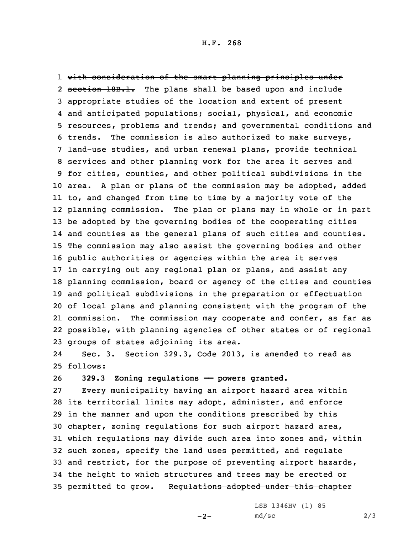with consideration of the smart planning principles under 2 section 18B.1. The plans shall be based upon and include appropriate studies of the location and extent of present and anticipated populations; social, physical, and economic resources, problems and trends; and governmental conditions and trends. The commission is also authorized to make surveys, land-use studies, and urban renewal plans, provide technical services and other planning work for the area it serves and for cities, counties, and other political subdivisions in the area. <sup>A</sup> plan or plans of the commission may be adopted, added to, and changed from time to time by <sup>a</sup> majority vote of the planning commission. The plan or plans may in whole or in part be adopted by the governing bodies of the cooperating cities and counties as the general plans of such cities and counties. The commission may also assist the governing bodies and other public authorities or agencies within the area it serves in carrying out any regional plan or plans, and assist any planning commission, board or agency of the cities and counties and political subdivisions in the preparation or effectuation of local plans and planning consistent with the program of the commission. The commission may cooperate and confer, as far as possible, with planning agencies of other states or of regional groups of states adjoining its area.

24 Sec. 3. Section 329.3, Code 2013, is amended to read as 25 follows:

26 **329.3 Zoning regulations —— powers granted.**

 Every municipality having an airport hazard area within its territorial limits may adopt, administer, and enforce in the manner and upon the conditions prescribed by this chapter, zoning regulations for such airport hazard area, which regulations may divide such area into zones and, within such zones, specify the land uses permitted, and regulate and restrict, for the purpose of preventing airport hazards, the height to which structures and trees may be erected or 35 permitted to grow. Requiations adopted under this chapter

 $-2-$ 

LSB 1346HV (1) 85  $md/sec$  2/3